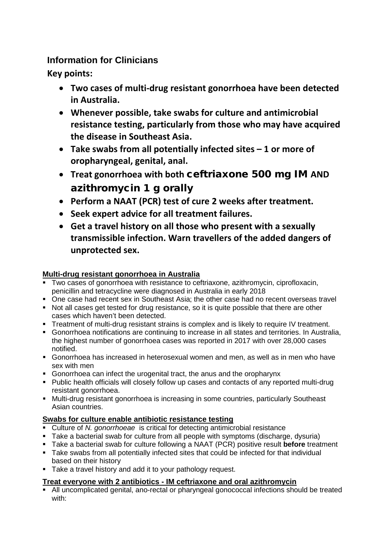# **Information for Clinicians**

**Key points:**

- **Two cases of multi-drug resistant gonorrhoea have been detected in Australia.**
- **Whenever possible, take swabs for culture and antimicrobial resistance testing, particularly from those who may have acquired the disease in Southeast Asia.**
- **Take swabs from all potentially infected sites – 1 or more of oropharyngeal, genital, anal.**
- **Treat gonorrhoea with both** ceftriaxone 500 mg IM **AND** azithromycin 1 g orally
- **Perform a NAAT (PCR) test of cure 2 weeks after treatment.**
- **Seek expert advice for all treatment failures.**
- **Get a travel history on all those who present with a sexually transmissible infection. Warn travellers of the added dangers of unprotected sex.**

## **Multi-drug resistant gonorrhoea in Australia**

- Two cases of gonorrhoea with resistance to ceftriaxone, azithromycin, ciprofloxacin, penicillin and tetracycline were diagnosed in Australia in early 2018
- One case had recent sex in Southeast Asia; the other case had no recent overseas travel
- Not all cases get tested for drug resistance, so it is quite possible that there are other cases which haven't been detected.
- Treatment of multi-drug resistant strains is complex and is likely to require IV treatment.
- Gonorrhoea notifications are continuing to increase in all states and territories. In Australia, the highest number of gonorrhoea cases was reported in 2017 with over 28,000 cases notified.
- Gonorrhoea has increased in heterosexual women and men, as well as in men who have sex with men
- Gonorrhoea can infect the urogenital tract, the anus and the oropharynx
- Public health officials will closely follow up cases and contacts of any reported multi-drug resistant gonorrhoea.
- **Multi-drug resistant gonorrhoea is increasing in some countries, particularly Southeast** Asian countries.

## **Swabs for culture enable antibiotic resistance testing**

- Culture of *N. gonorrhoeae* is critical for detecting antimicrobial resistance
- Take a bacterial swab for culture from all people with symptoms (discharge, dysuria)
- Take a bacterial swab for culture following a NAAT (PCR) positive result **before** treatment
- Take swabs from all potentially infected sites that could be infected for that individual based on their history
- Take a travel history and add it to your pathology request.

## **Treat everyone with 2 antibiotics - IM ceftriaxone and oral azithromycin**

All uncomplicated genital, ano-rectal or pharyngeal gonococcal infections should be treated with: